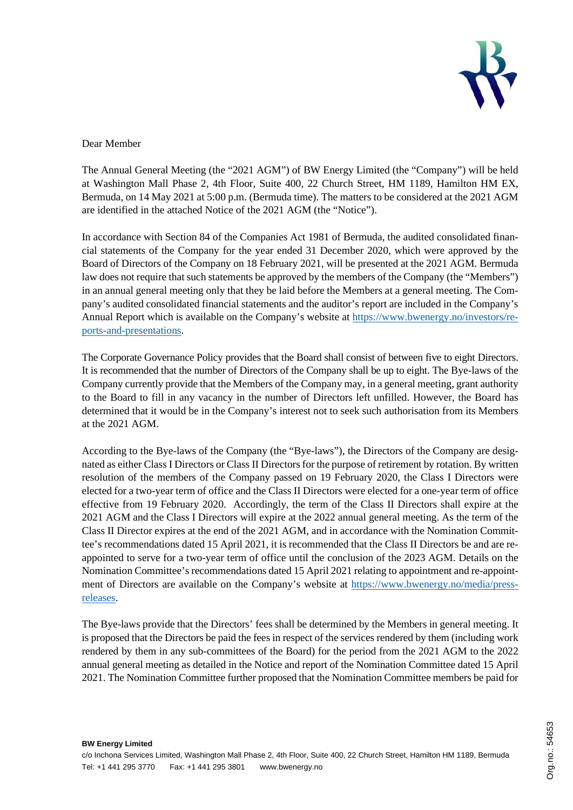

## Dear Member

The Annual General Meeting (the "2021 AGM") of BW Energy Limited (the "Company") will be held at Washington Mall Phase 2, 4th Floor, Suite 400, 22 Church Street, HM 1189, Hamilton HM EX, Bermuda, on 14 May 2021 at 5:00 p.m. (Bermuda time). The matters to be considered at the 2021 AGM are identified in the attached Notice of the 2021 AGM (the "Notice").

In accordance with Section 84 of the Companies Act 1981 of Bermuda, the audited consolidated financial statements of the Company for the year ended 31 December 2020, which were approved by the Board of Directors of the Company on 18 February 2021, will be presented at the 2021 AGM. Bermuda law does not require that such statements be approved by the members of the Company (the "Members") in an annual general meeting only that they be laid before the Members at a general meeting. The Company's audited consolidated financial statements and the auditor's report are included in the Company's Annual Report which is available on the Company's website at https://www.bwenergy.no/investors/reports-and-presentations.

The Corporate Governance Policy provides that the Board shall consist of between five to eight Directors. It is recommended that the number of Directors of the Company shall be up to eight. The Bye-laws of the Company currently provide that the Members of the Company may, in a general meeting, grant authority to the Board to fill in any vacancy in the number of Directors left unfilled. However, the Board has determined that it would be in the Company's interest not to seek such authorisation from its Members at the 2021 AGM.

According to the Bye-laws of the Company (the "Bye-laws"), the Directors of the Company are designated as either Class I Directors or Class II Directors for the purpose of retirement by rotation. By written resolution of the members of the Company passed on 19 February 2020, the Class I Directors were elected for a two-year term of office and the Class II Directors were elected for a one-year term of office effective from 19 February 2020. Accordingly, the term of the Class II Directors shall expire at the 2021 AGM and the Class I Directors will expire at the 2022 annual general meeting. As the term of the Class II Director expires at the end of the 2021 AGM, and in accordance with the Nomination Committee's recommendations dated 15 April 2021, it is recommended that the Class II Directors be and are reappointed to serve for a two-year term of office until the conclusion of the 2023 AGM. Details on the Nomination Committee's recommendations dated 15 April 2021 relating to appointment and re-appointment of Directors are available on the Company's website at https://www.bwenergy.no/media/pressreleases.

The Bye-laws provide that the Directors' fees shall be determined by the Members in general meeting. It is proposed that the Directors be paid the fees in respect of the services rendered by them (including work rendered by them in any sub-committees of the Board) for the period from the 2021 AGM to the 2022 annual general meeting as detailed in the Notice and report of the Nomination Committee dated 15 April 2021. The Nomination Committee further proposed that the Nomination Committee members be paid for

**BW Energy Limited**